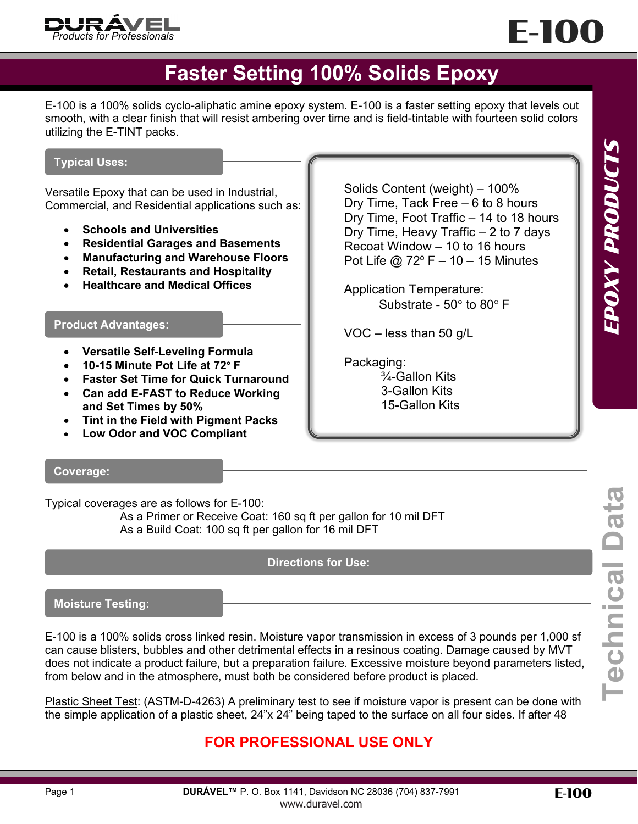



### **Faster Setting 100% Solids Epoxy**

E-100 is a 100% solids cyclo-aliphatic amine epoxy system. E-100 is a faster setting epoxy that levels out smooth, with a clear finish that will resist ambering over time and is field-tintable with fourteen solid colors utilizing the E-TINT packs.

#### **Typical Uses:**

Versatile Epoxy that can be used in Industrial, Commercial, and Residential applications such as:

- **Schools and Universities**
- **Residential Garages and Basements**
- **Manufacturing and Warehouse Floors**
- **Retail, Restaurants and Hospitality**
- **Healthcare and Medical Offices**

#### **Product Advantages:**

- **Versatile Self-Leveling Formula**
- **10-15 Minute Pot Life at 72° F**
- **Faster Set Time for Quick Turnaround**
- **Can add E-FAST to Reduce Working and Set Times by 50%**
- **Tint in the Field with Pigment Packs**
- **Low Odor and VOC Compliant**

#### Solids Content (weight) – 100% Dry Time, Tack Free – 6 to 8 hours Dry Time, Foot Traffic – 14 to 18 hours Dry Time, Heavy Traffic – 2 to 7 days Recoat Window – 10 to 16 hours Pot Life  $@$  72 $^{\circ}$  F – 10 – 15 Minutes

Application Temperature: Substrate - 50° to 80° F

VOC – less than 50 g/L

Packaging: ¾-Gallon Kits 3-Gallon Kits 15-Gallon Kits

#### **Coverage:**

Typical coverages are as follows for E-100:

As a Primer or Receive Coat: 160 sq ft per gallon for 10 mil DFT As a Build Coat: 100 sq ft per gallon for 16 mil DFT

#### **Directions for Use:**

**Moisture Testing:**

E-100 is a 100% solids cross linked resin. Moisture vapor transmission in excess of 3 pounds per 1,000 sf can cause blisters, bubbles and other detrimental effects in a resinous coating. Damage caused by MVT does not indicate a product failure, but a preparation failure. Excessive moisture beyond parameters listed, from below and in the atmosphere, must both be considered before product is placed.

Plastic Sheet Test: (ASTM-D-4263) A preliminary test to see if moisture vapor is present can be done with the simple application of a plastic sheet, 24"x 24" being taped to the surface on all four sides. If after 48

### **FOR PROFESSIONAL USE ONLY**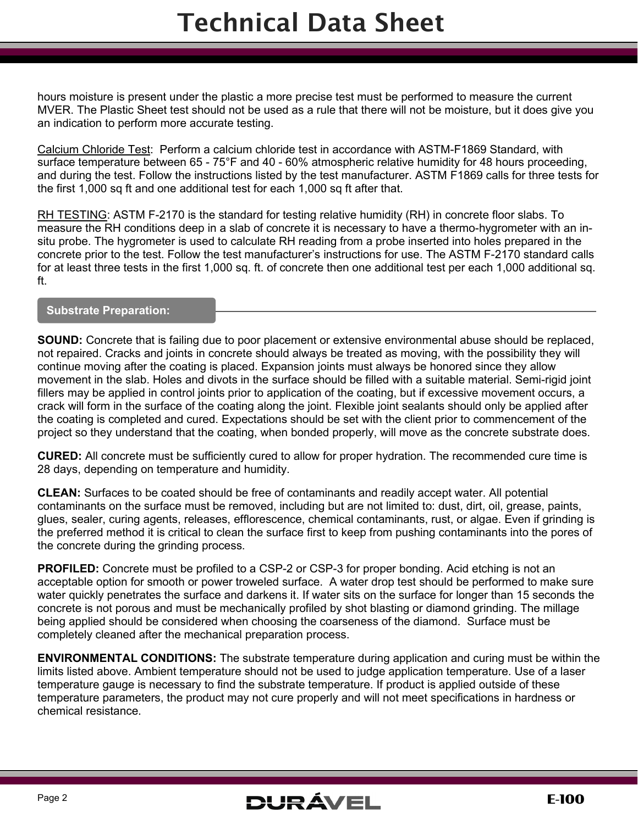hours moisture is present under the plastic a more precise test must be performed to measure the current MVER. The Plastic Sheet test should not be used as a rule that there will not be moisture, but it does give you an indication to perform more accurate testing.

Calcium Chloride Test: Perform a calcium chloride test in accordance with ASTM-F1869 Standard, with surface temperature between 65 - 75°F and 40 - 60% atmospheric relative humidity for 48 hours proceeding. and during the test. Follow the instructions listed by the test manufacturer. ASTM F1869 calls for three tests for the first 1,000 sq ft and one additional test for each 1,000 sq ft after that.

RH TESTING: ASTM F-2170 is the standard for testing relative humidity (RH) in concrete floor slabs. To measure the RH conditions deep in a slab of concrete it is necessary to have a thermo-hygrometer with an insitu probe. The hygrometer is used to calculate RH reading from a probe inserted into holes prepared in the concrete prior to the test. Follow the test manufacturer's instructions for use. The ASTM F-2170 standard calls for at least three tests in the first 1,000 sq. ft. of concrete then one additional test per each 1,000 additional sq. ft.

#### **Substrate Preparation:**

**SOUND:** Concrete that is failing due to poor placement or extensive environmental abuse should be replaced, not repaired. Cracks and joints in concrete should always be treated as moving, with the possibility they will continue moving after the coating is placed. Expansion joints must always be honored since they allow movement in the slab. Holes and divots in the surface should be filled with a suitable material. Semi-rigid joint fillers may be applied in control joints prior to application of the coating, but if excessive movement occurs, a crack will form in the surface of the coating along the joint. Flexible joint sealants should only be applied after the coating is completed and cured. Expectations should be set with the client prior to commencement of the project so they understand that the coating, when bonded properly, will move as the concrete substrate does.

**CURED:** All concrete must be sufficiently cured to allow for proper hydration. The recommended cure time is 28 days, depending on temperature and humidity.

**CLEAN:** Surfaces to be coated should be free of contaminants and readily accept water. All potential contaminants on the surface must be removed, including but are not limited to: dust, dirt, oil, grease, paints, glues, sealer, curing agents, releases, efflorescence, chemical contaminants, rust, or algae. Even if grinding is the preferred method it is critical to clean the surface first to keep from pushing contaminants into the pores of the concrete during the grinding process.

**PROFILED:** Concrete must be profiled to a CSP-2 or CSP-3 for proper bonding. Acid etching is not an acceptable option for smooth or power troweled surface. A water drop test should be performed to make sure water quickly penetrates the surface and darkens it. If water sits on the surface for longer than 15 seconds the concrete is not porous and must be mechanically profiled by shot blasting or diamond grinding. The millage being applied should be considered when choosing the coarseness of the diamond. Surface must be completely cleaned after the mechanical preparation process.

**ENVIRONMENTAL CONDITIONS:** The substrate temperature during application and curing must be within the limits listed above. Ambient temperature should not be used to judge application temperature. Use of a laser temperature gauge is necessary to find the substrate temperature. If product is applied outside of these temperature parameters, the product may not cure properly and will not meet specifications in hardness or chemical resistance.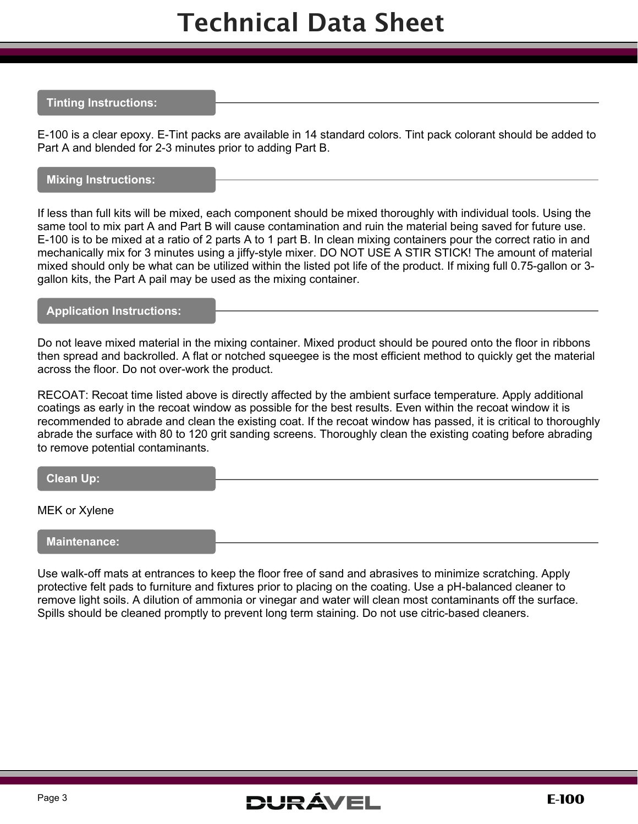#### **Tinting Instructions:**

E-100 is a clear epoxy. E-Tint packs are available in 14 standard colors. Tint pack colorant should be added to Part A and blended for 2-3 minutes prior to adding Part B.

#### **Mixing Instructions:**

If less than full kits will be mixed, each component should be mixed thoroughly with individual tools. Using the same tool to mix part A and Part B will cause contamination and ruin the material being saved for future use. E-100 is to be mixed at a ratio of 2 parts A to 1 part B. In clean mixing containers pour the correct ratio in and mechanically mix for 3 minutes using a jiffy-style mixer. DO NOT USE A STIR STICK! The amount of material mixed should only be what can be utilized within the listed pot life of the product. If mixing full 0.75-gallon or 3 gallon kits, the Part A pail may be used as the mixing container.

#### **Application Instructions:**

Do not leave mixed material in the mixing container. Mixed product should be poured onto the floor in ribbons then spread and backrolled. A flat or notched squeegee is the most efficient method to quickly get the material across the floor. Do not over-work the product.

RECOAT: Recoat time listed above is directly affected by the ambient surface temperature. Apply additional coatings as early in the recoat window as possible for the best results. Even within the recoat window it is recommended to abrade and clean the existing coat. If the recoat window has passed, it is critical to thoroughly abrade the surface with 80 to 120 grit sanding screens. Thoroughly clean the existing coating before abrading to remove potential contaminants.

| Clean Up:     |  |  |  |
|---------------|--|--|--|
| MEK or Xylene |  |  |  |

#### **Maintenance:**

Use walk-off mats at entrances to keep the floor free of sand and abrasives to minimize scratching. Apply protective felt pads to furniture and fixtures prior to placing on the coating. Use a pH-balanced cleaner to remove light soils. A dilution of ammonia or vinegar and water will clean most contaminants off the surface. Spills should be cleaned promptly to prevent long term staining. Do not use citric-based cleaners.

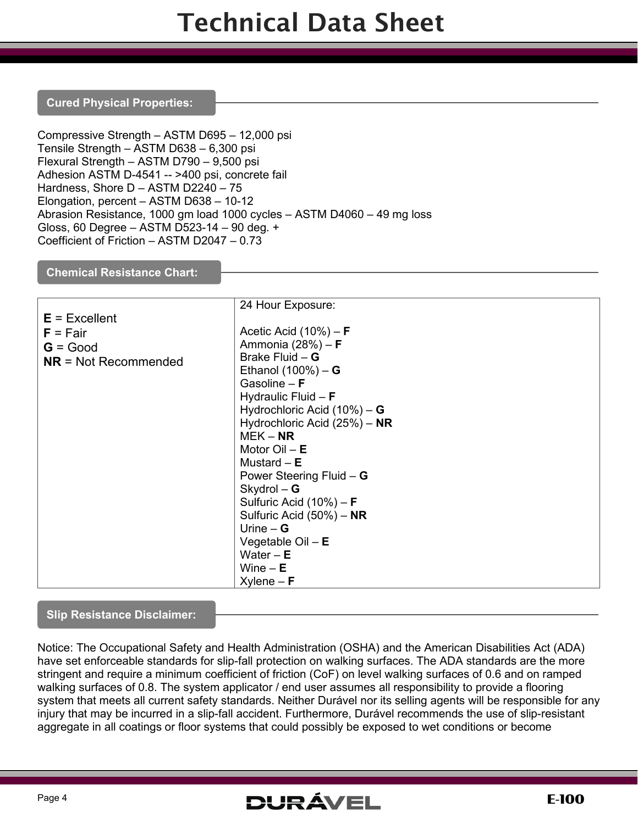#### **Cured Physical Properties:**

Compressive Strength – ASTM D695 – 12,000 psi Tensile Strength – ASTM D638 – 6,300 psi Flexural Strength – ASTM D790 – 9,500 psi Adhesion ASTM D-4541 -- >400 psi, concrete fail Hardness, Shore D – ASTM D2240 – 75 Elongation, percent – ASTM D638 – 10-12 Abrasion Resistance, 1000 gm load 1000 cycles – ASTM D4060 – 49 mg loss Gloss, 60 Degree – ASTM D523-14 – 90 deg. + Coefficient of Friction – ASTM D2047 – 0.73

#### **Chemical Resistance Chart:**

|                        | 24 Hour Exposure:             |
|------------------------|-------------------------------|
| $E = Excellent$        |                               |
| $F = Fair$             | Acetic Acid $(10%) - F$       |
| $G = Good$             | Ammonia (28%) – $F$           |
| $NR = Not$ Recommended | Brake Fluid $-$ G             |
|                        | Ethanol $(100%) - G$          |
|                        | Gasoline $- F$                |
|                        | Hydraulic Fluid $- F$         |
|                        | Hydrochloric Acid $(10%) - G$ |
|                        | Hydrochloric Acid (25%) - NR  |
|                        | $MEK - NR$                    |
|                        | Motor $Oil - E$               |
|                        | Mustard $-E$                  |
|                        | Power Steering Fluid $-$ G    |
|                        | $Skydrol - G$                 |
|                        | Sulfuric Acid $(10%) - F$     |
|                        | Sulfuric Acid $(50\%)$ – NR   |
|                        | Urine $-$ G                   |
|                        | Vegetable Oil $- E$           |
|                        | Water $-E$                    |
|                        | Wine $- E$                    |
|                        | $X$ ylene – <b>F</b>          |

#### **Slip Resistance Disclaimer:**

Notice: The Occupational Safety and Health Administration (OSHA) and the American Disabilities Act (ADA) have set enforceable standards for slip-fall protection on walking surfaces. The ADA standards are the more stringent and require a minimum coefficient of friction (CoF) on level walking surfaces of 0.6 and on ramped walking surfaces of 0.8. The system applicator / end user assumes all responsibility to provide a flooring system that meets all current safety standards. Neither Durável nor its selling agents will be responsible for any injury that may be incurred in a slip-fall accident. Furthermore, Durável recommends the use of slip-resistant aggregate in all coatings or floor systems that could possibly be exposed to wet conditions or become

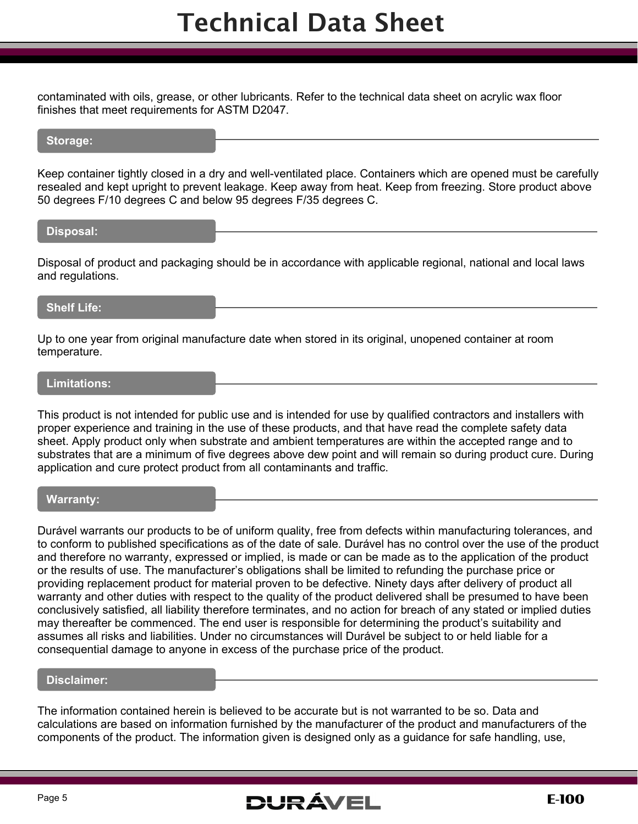contaminated with oils, grease, or other lubricants. Refer to the technical data sheet on acrylic wax floor finishes that meet requirements for ASTM D2047.

#### **Storage:**

Keep container tightly closed in a dry and well-ventilated place. Containers which are opened must be carefully resealed and kept upright to prevent leakage. Keep away from heat. Keep from freezing. Store product above 50 degrees F/10 degrees C and below 95 degrees F/35 degrees C.

#### **Disposal:**

Disposal of product and packaging should be in accordance with applicable regional, national and local laws and regulations.

#### **Shelf Life:**

Up to one year from original manufacture date when stored in its original, unopened container at room temperature.

#### **Limitations:**

This product is not intended for public use and is intended for use by qualified contractors and installers with proper experience and training in the use of these products, and that have read the complete safety data sheet. Apply product only when substrate and ambient temperatures are within the accepted range and to substrates that are a minimum of five degrees above dew point and will remain so during product cure. During application and cure protect product from all contaminants and traffic.

#### **Warranty:**

Durável warrants our products to be of uniform quality, free from defects within manufacturing tolerances, and to conform to published specifications as of the date of sale. Durável has no control over the use of the product and therefore no warranty, expressed or implied, is made or can be made as to the application of the product or the results of use. The manufacturer's obligations shall be limited to refunding the purchase price or providing replacement product for material proven to be defective. Ninety days after delivery of product all warranty and other duties with respect to the quality of the product delivered shall be presumed to have been conclusively satisfied, all liability therefore terminates, and no action for breach of any stated or implied duties may thereafter be commenced. The end user is responsible for determining the product's suitability and assumes all risks and liabilities. Under no circumstances will Durável be subject to or held liable for a consequential damage to anyone in excess of the purchase price of the product.

#### **Disclaimer:**

The information contained herein is believed to be accurate but is not warranted to be so. Data and calculations are based on information furnished by the manufacturer of the product and manufacturers of the components of the product. The information given is designed only as a guidance for safe handling, use,